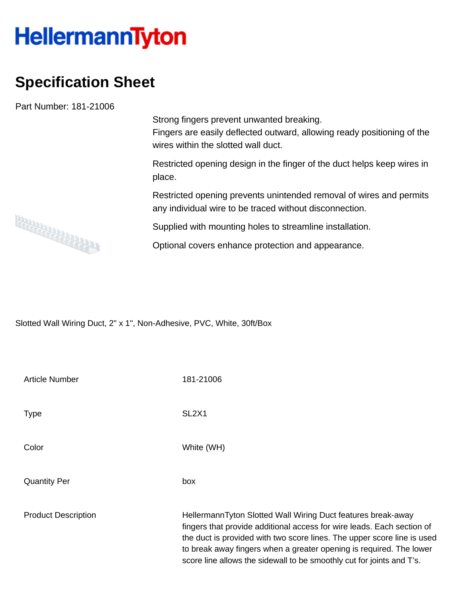## **HellermannTyton**

## **Specification Sheet**

Part Number: 181-21006

Strong fingers prevent unwanted breaking. Fingers are easily deflected outward, allowing ready positioning of the wires within the slotted wall duct.

Restricted opening design in the finger of the duct helps keep wires in place.

Restricted opening prevents unintended removal of wires and permits any individual wire to be traced without disconnection.

Supplied with mounting holes to streamline installation.

Optional covers enhance protection and appearance.

Slotted Wall Wiring Duct, 2" x 1", Non-Adhesive, PVC, White, 30ft/Box

| Article Number             | 181-21006                                                                                                                                                                                                                                                                                                                                                         |
|----------------------------|-------------------------------------------------------------------------------------------------------------------------------------------------------------------------------------------------------------------------------------------------------------------------------------------------------------------------------------------------------------------|
| Type                       | SL <sub>2</sub> X <sub>1</sub>                                                                                                                                                                                                                                                                                                                                    |
| Color                      | White (WH)                                                                                                                                                                                                                                                                                                                                                        |
| <b>Quantity Per</b>        | box                                                                                                                                                                                                                                                                                                                                                               |
| <b>Product Description</b> | HellermannTyton Slotted Wall Wiring Duct features break-away<br>fingers that provide additional access for wire leads. Each section of<br>the duct is provided with two score lines. The upper score line is used<br>to break away fingers when a greater opening is required. The lower<br>score line allows the sidewall to be smoothly cut for joints and T's. |

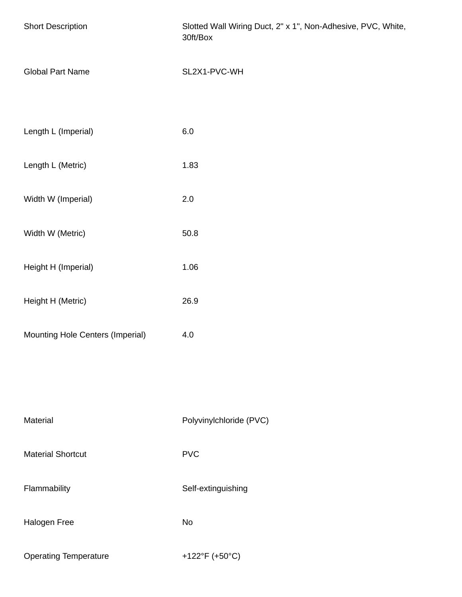| <b>Short Description</b>         | Slotted Wall Wiring Duct, 2" x 1", Non-Adhesive, PVC, White,<br>30ft/Box |
|----------------------------------|--------------------------------------------------------------------------|
| <b>Global Part Name</b>          | SL2X1-PVC-WH                                                             |
| Length L (Imperial)              | $6.0\,$                                                                  |
| Length L (Metric)                | 1.83                                                                     |
| Width W (Imperial)               | 2.0                                                                      |
| Width W (Metric)                 | 50.8                                                                     |
| Height H (Imperial)              | 1.06                                                                     |
| Height H (Metric)                | 26.9                                                                     |
| Mounting Hole Centers (Imperial) | 4.0                                                                      |
|                                  |                                                                          |
| Material                         | Polyvinylchloride (PVC)                                                  |
| <b>Material Shortcut</b>         | <b>PVC</b>                                                               |
| Flammability                     | Self-extinguishing                                                       |
| Halogen Free                     | No                                                                       |
| <b>Operating Temperature</b>     | +122°F (+50°C)                                                           |